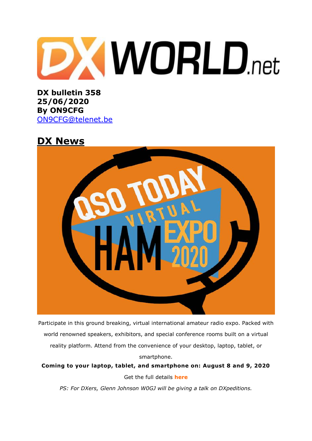

**DX bulletin 358 25/06/2020 By ON9CFG**  [ON9CFG@telenet.be](mailto:ON9CFG@telenet.be)

## **DX News**



Participate in this ground breaking, virtual international amateur radio expo. Packed with world renowned speakers, exhibitors, and special conference rooms built on a virtual reality platform. Attend from the convenience of your desktop, laptop, tablet, or

**Coming to your laptop, tablet, and smartphone on: August 8 and 9, 2020** Get the full details **[here](https://www.qsotodayhamexpo.com/)**

smartphone.

*PS: For DXers, Glenn Johnson W0GJ will be giving a talk on DXpeditions.*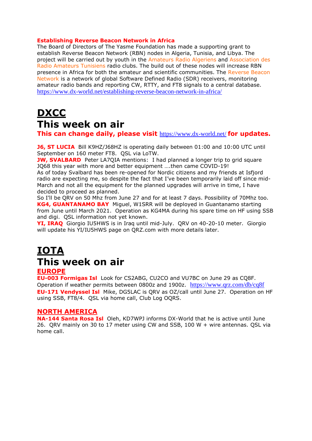#### **Establishing Reverse Beacon Network in Africa**

The Board of Directors of The Yasme Foundation has made a supporting grant to establish Reverse Beacon Network (RBN) nodes in Algeria, Tunisia, and Libya. The project will be carried out by youth in the [Amateurs](https://ara7x.wordpress.com/) Radio Algeriens and [Association](http://amateurradiointunisia.org/) des Radio [Amateurs](http://amateurradiointunisia.org/) Tunisiens radio clubs. The build out of these nodes will increase RBN presence in Africa for both the amateur and scientific communities. The [Reverse](http://www.reversebeacon.net/) Beacon [Network](http://www.reversebeacon.net/) is a network of global Software Defined Radio (SDR) receivers, monitoring amateur radio bands and reporting CW, RTTY, and FT8 signals to a central database. <https://www.dx-world.net/establishing-reverse-beacon-network-in-africa/>

# **DXCC This week on air**

**This can change daily, please visit** <https://www.dx-world.net/> **for updates.**

**J6, ST LUCIA** Bill K9HZ/J68HZ is operating daily between 01:00 and 10:00 UTC until September on 160 meter FT8. QSL via LoTW.

**JW, SVALBARD** Peter LA7QIA mentions: I had planned a longer trip to grid square JQ68 this year with more and better equipment ….then came COVID-19!

As of today Svalbard has been re-opened for Nordic citizens and my friends at Isfjord radio are expecting me, so despite the fact that I've been temporarily laid off since mid-March and not all the equipment for the planned upgrades will arrive in time, I have decided to proceed as planned.

So I'll be QRV on 50 Mhz from June 27 and for at least 7 days. Possibility of 70Mhz too. **KG4, GUANTANAMO BAY** Miguel, W1SRR will be deployed in Guantanamo starting from June until March 2021. Operation as KG4MA during his spare time on HF using SSB and digi. QSL information not yet known.

**YI, IRAQ** Giorgio IU5HWS is in Iraq until mid-July. QRV on 40-20-10 meter. Giorgio will update his YI/IU5HWS page on QRZ.com with more details later.

# **IOTA This week on air**

### **EUROPE**

**EU-003 Formigas Isl** Look for CS2ABG, CU2CO and VU7BC on June 29 as CQ8F. Operation if weather permits between 0800z and 1900z. <https://www.qrz.com/db/cq8f> **EU-171 Vendyssel Isl** Mike, DG5LAC is QRV as OZ/call until June 27. Operation on HF using SSB, FT8/4. QSL via home call, Club Log OQRS.

### **NORTH AMERICA**

**NA-144 Santa Rosa Isl** Oleh, KD7WPJ informs DX-World that he is active until June 26. QRV mainly on 30 to 17 meter using CW and SSB, 100 W + wire antennas. QSL via home call.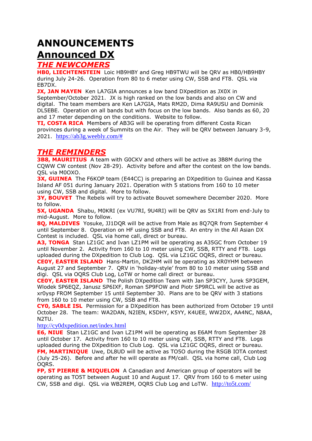# **ANNOUNCEMENTS Announced DX**

## *THE NEWCOMERS*

**HB0, LIECHTENSTEIN** Loic HB9HBY and Greg HB9TWU will be QRV as HB0/HB9HBY during July 24-26. Operation from 80 to 6 meter using CW, SSB and FT8. QSL via EB7DX.

**JX, JAN MAYEN** Ken LA7GIA announces a low band DXpedition as JX0X in September/October 2021. JX is high ranked on the low bands and also on CW and digital. The team members are Ken LA7GIA, Mats RM2D, Dima RA9USU and Dominik DL5EBE. Operation on all bands but with focus on the low bands. Also bands as 60, 20 and 17 meter depending on the conditions. Website to follow.

**TI, COSTA RICA** Members of AB3G will be operating from different Costa Rican provinces during a week of Summits on the Air. They will be QRV between January 3-9, 2021. [https://ab3g.weebly.com/#](https://ab3g.weebly.com/)

## *THE REMINDERS*

**3B8, MAURITIUS** A team with GOCKV and others will be active as 3B8M during the CQWW CW contest (Nov 28-29). Activity before and after the contest on the low bands. QSL via M0OXO.

**3X, GUINEA** The F6KOP team (E44CC) is preparing an DXpedition to Guinea and Kassa Island AF 051 during January 2021. Operation with 5 stations from 160 to 10 meter using CW, SSB and digital. More to follow.

**3Y, BOUVET** The Rebels will try to activate Bouvet somewhere December 2020. More to follow.

**5X, UGANDA** Shabu, M0KRI (ex VU7RI, 9U4RI) will be QRV as 5X1RI from end-July to mid-August. More to follow.

**8Q, MALDIVES** Yosuke, JJ1DQR will be active from Male as 8Q7QR from September 4 until September 8. Operation on HF using SSB and FT8. An entry in the All Asian DX Contest is included. QSL via home call, direct or bureau.

**A3, TONGA** Stan LZ1GC and Ivan LZ1PM will be operating as A35GC from October 19 until November 2. Activity from 160 to 10 meter using CW, SSB, RTTY and FT8. Logs uploaded during the DXpedition to Club Log. QSL via LZ1GC OQRS, direct or bureau. **CE0Y, EASTER ISLAND** Hans-Martin, DK2HM will be operating as XR0YHM between August 27 and September 7. QRV in 'holiday-style' from 80 to 10 meter using SSB and digi. QSL via OQRS Club Log, LoTW or home call direct or bureau.

**CE0Y, EASTER ISLAND** The Polish DXpedition Team with Jan SP3CYY, Jurek SP3GEM, Wlodek SP6EQZ, Janusz SP6IXF, Roman SP9FOW and Piotr SP9RCL will be active as xr0ysp FROM September 15 until September 30. Plans are to be QRV with 3 stations from 160 to 10 meter using CW, SSB and FT8.

**CY0, SABLE ISL** Permission for a DXpedition has been authorized from October 19 until October 28. The team: WA2DAN, N2IEN, K5DHY, K5YY, K4UEE, WW2DX, AA4NC, N8AA, N2TU.

<http://cy0dxpedition.net/index.html>

**E6, NIUE** Stan LZ1GC and Ivan LZ1PM will be operating as E6AM from September 28 until October 17. Activity from 160 to 10 meter using CW, SSB, RTTY and FT8. Logs uploaded during the DXpedition to Club Log. QSL via LZ1GC OQRS, direct or bureau. **FM, MARTINIQUE** Uwe, DL8UD will be active as TO5O during the RSGB IOTA contest (July 25-26). Before and after he will operate as FM/call. QSL via home call, Club Log OQRS.

**FP, ST PIERRE & MIQUELON** A Canadian and American group of operators will be operating as TO5T between August 10 and August 17. QRV from 160 to 6 meter using CW, SSB and digi. QSL via WB2REM, OQRS Club Log and LoTW. <http://to5t.com/>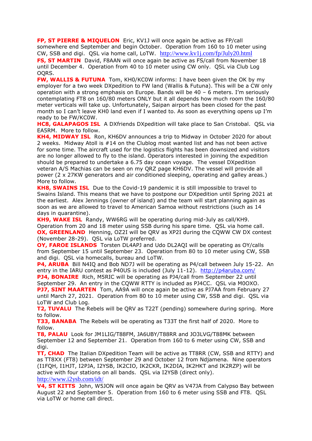**FP, ST PIERRE & MIQUELON** Eric, KV1J will once again be active as FP/call somewhere end September and begin October. Operation from 160 to 10 meter using CW, SSB and digi. QSL via home call, LoTW. <http://www.kv1j.com/fp/July20.html> **FS, ST MARTIN** David, F8AAN will once again be active as FS/call from November 18 until December 4. Operation from 40 to 10 meter using CW only. QSL via Club Log OQRS.

**FW, WALLIS & FUTUNA** Tom, KH0/KC0W informs: I have been given the OK by my employer for a two week DXpedition to FW land (Wallis & Futuna). This will be a CW only operation with a strong emphasis on Europe. Bands will be 40 – 6 meters. I'm seriously contemplating FT8 on 160/80 meters ONLY but it all depends how much room the 160/80 meter verticals will take up. Unfortunately, Saipan airport has been closed for the past month so I can't leave KH0 land even if I wanted to. As soon as everything opens up I'm ready to be FW/KC0W.

**HC8, GALAPAGOS ISL** A DXfriends DXpedition will take place to San Cristobal. QSL via EA5RM. More to follow.

**KH4, MIDWAY ISL** Ron, KH6DV announces a trip to Midway in October 2020 for about 2 weeks. Midway Atoll is #14 on the Clublog most wanted list and has not been active for some time. The aircraft used for the logistics flights has been downsized and visitors are no longer allowed to fly to the island. Operators interested in joining the expedition should be prepared to undertake a 6.75 day ocean voyage. The vessel DXpedition veteran A/S Machias can be seen on my QRZ page KH6DV. The vessel will provide all power (2 x 27KW generators and air conditioned sleeping, operating and galley areas.) More to follow.

**KH8, SWAINS ISL** Due to the Covid-19 pandemic it is still impossible to travel to Swains Island. This means that we have to postpone our DXpedition until Spring 2021 at the earliest. Alex Jennings (owner of island) and the team will start planning again as soon as we are allowed to travel to American Samoa without restrictions (such as 14 days in quarantine).

**KH9, WAKE ISL** Randy, WW6RG will be operating during mid-July as call/KH9. Operation from 20 and 18 meter using SSB during his spare time. QSL via home call. **OX, GREENLAND** Henning, OZ2I will be ORV as XP2I during the COWW CW DX contest (November 28-29). QSL via LoTW preferred.

**OY, FAROE ISLANDS** Torsten DL4APJ and Udo DL2AQI will be operating as OY/calls from September 15 until September 23. Operation from 80 to 10 meter using CW, SSB and digi. QSL via homecalls, bureau and LoTW.

**P4, ARUBA** Bill N4IQ and Bob ND7J will be operating as P4/call between July 15-22. An entry in the IARU contest as P40US is included (July 11-12). <http://p4aruba.com/>

**PJ4, BONAIRE** Rich, M5RIC will be operating as PJ4/call from September 22 until September 29. An entry in the CQWW RTTY is included as PJ4CC. QSL via M0OXO. **PJ7, SINT MAARTEN** Tom, AA9A will once again be active as PJ7AA from February 27 until March 27, 2021. Operation from 80 to 10 meter using CW, SSB and digi. QSL via LoTW and Club Log.

**T2, TUVALU** The Rebels will be QRV as T22T (pending) somewhere during spring. More to follow.

**T33, BANABA** The Rebels will be operating as T33T the first half of 2020. More to follow.

**T8, PALAU** Look for JM1LIG/T88FM, JA6UBY/T88RR and JO3LVG/T88MK between September 12 and September 21. Operation from 160 to 6 meter using CW, SSB and digi.

**TT, CHAD** The Italian DXpedition Team will be active as TT8RR (CW, SSB and RTTY) and as TT8XX (FT8) between September 29 and October 12 from Ndjamena. Nine operators (I1FQH, I1HJT, I2PJA, I2YSB, IK2CIO, IK2CKR, IK2DIA, IK2HKT and IK2RZP) will be active with four stations on all bands. QSL via I2YSB (direct only). <http://www.i2ysb.com/idt/>

**V4, ST KITTS** John, W5JON will once again be QRV as V47JA from Calypso Bay between August 22 and September 5. Operation from 160 to 6 meter using SSB and FT8. QSL via LoTW or home call direct.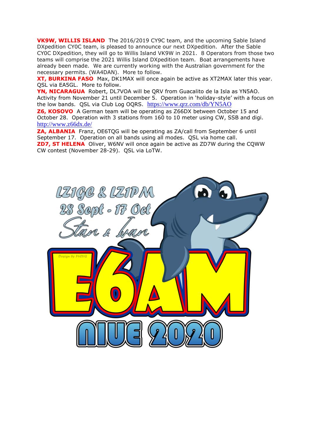**VK9W, WILLIS ISLAND** The 2016/2019 CY9C team, and the upcoming Sable Island DXpedition CY0C team, is pleased to announce our next DXpedition. After the Sable CY0C DXpedition, they will go to Willis Island VK9W in 2021. 8 Operators from those two teams will comprise the 2021 Willis Island DXpedition team. Boat arrangements have already been made. We are currently working with the Australian government for the necessary permits. (WA4DAN). More to follow.

**XT, BURKINA FASO** Max, DK1MAX will once again be active as XT2MAX later this year. QSL via EA5GL. More to follow.

**YN, NICARAGUA** Robert, DL7VOA will be QRV from Guacalito de la Isla as YN5AO. Activity from November 21 until December 5. Operation in 'holiday-style' with a focus on the low bands. QSL via Club Log OQRS. <https://www.qrz.com/db/YN5AO>

**Z6, KOSOVO** A German team will be operating as Z66DX between October 15 and October 28. Operation with 3 stations from 160 to 10 meter using CW, SSB and digi. <http://www.z66dx.de/>

**ZA, ALBANIA** Franz, OE6TQG will be operating as ZA/call from September 6 until September 17. Operation on all bands using all modes. QSL via home call. **ZD7, ST HELENA** Oliver, W6NV will once again be active as ZD7W during the CQWW CW contest (November 28-29). QSL via LoTW.

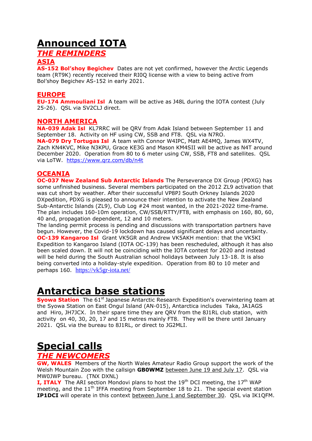# **Announced IOTA**

## *THE REMINDERS*

### **ASIA**

**AS-152 Bol'shoy Begichev** Dates are not yet confirmed, however the Arctic Legends team (RT9K) recently received their RI0Q license with a view to being active from Bol'shoy Begichev AS-152 in early 2021.

### **EUROPE**

**EU-174 Ammouliani Isl** A team will be active as J48L during the IOTA contest (July 25-26). QSL via SV2CLJ direct.

### **NORTH AMERICA**

**NA-039 Adak Isl** KL7RRC will be QRV from Adak Island between September 11 and September 18. Activity on HF using CW, SSB and FT8. QSL via N7RO. **NA-079 Dry Tortugas Isl** A team with Connor W4IPC, Matt AE4MQ, James WX4TV, Zach KN4KVC, Mike N3KPU, Grace KE3G and Mason KM4SII will be active as N4T around December 2020. Operation from 80 to 6 meter using CW, SSB, FT8 and satellites. QSL via LoTW. <https://www.qrz.com/db/n4t>

### **OCEANIA**

**OC-037 New Zealand Sub Antarctic Islands** The Perseverance DX Group (PDXG) has some unfinished business. Several members participated on the 2012 ZL9 activation that was cut short by weather. After their successful VP8PJ South Orkney Islands 2020 DXpedition, PDXG is pleased to announce their intention to activate the New Zealand Sub-Antarctic Islands (ZL9), Club Log #24 most wanted, in the 2021-2022 time-frame. The plan includes 160-10m operation, CW/SSB/RTTY/FT8, with emphasis on 160, 80, 60, 40 and, propagation dependent, 12 and 10 meters.

The landing permit process is pending and discussions with transportation partners have begun. However, the Covid-19 lockdown has caused significant delays and uncertainty. **OC-139 Kangaroo Isl** Grant VK5GR and Andrew VK5AKH mention: that the VK5KI Expedition to Kangaroo Island (IOTA OC-139) has been rescheduled, although it has also been scaled down. It will not be coinciding with the IOTA contest for 2020 and instead will be held during the South Australian school holidays between July 13-18. It is also being converted into a holiday-style expedition. Operation from 80 to 10 meter and perhaps 160. <https://vk5gr-iota.net/>

## **Antarctica base stations**

**Syowa Station** The 61<sup>st</sup> Japanese Antarctic Research Expedition's overwintering team at the Syowa Station on East Ongul Island (AN-015), Antarctica includes Taka, JA1AGS and Hiro, JH7JCX. In their spare time they are QRV from the 8J1RL club station, with activity on 40, 30, 20, 17 and 15 metres mainly FT8. They will be there until January 2021. QSL via the bureau to 8J1RL, or direct to JG2MLI.

## **Special calls**

### *THE NEWCOMERS*

**GW, WALES** Members of the North Wales Amateur Radio Group support the work of the Welsh Mountain Zoo with the callsign **GB0WMZ** between June 19 and July 17. QSL via MW0JWP bureau. (TNX DXNL)

**I, ITALY** The ARI section Mondovi plans to host the 19<sup>th</sup> DCI meeting, the 17<sup>th</sup> WAP meeting, and the  $11<sup>th</sup>$  IFFA meeting from September 18 to 21. The special event station **IP1DCI** will operate in this context between June 1 and September 30. QSL via IK1QFM.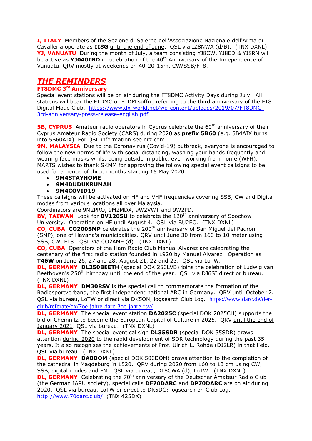**I, ITALY** Members of the Sezione di Salerno dell'Associazione Nazionale dell'Arma di Cavalleria operate as **II8G** until the end of June. QSL via IZ8NWA (d/B). (TNX DXNL) **YJ, VANUATU** During the month of July, a team consisting YJ8CW, YJ8ED & YJ8RN will be active as **YJ040IND** in celebration of the 40<sup>th</sup> Anniversary of the Independence of Vanuatu. QRV mostly at weekends on 40-20-15m, CW/SSB/FT8.

## *THE REMINDERS*

#### **FT8DMC 3rd Anniversary**

Special event stations will be on air during the FT8DMC Activity Days during July. All stations will bear the FTDMC or FTDM suffix, referring to the third anniversary of the FT8 Digital Mode Club. [https://www.dx-world.net/wp-content/uploads/2019/07/FT8DMC-](https://www.dx-world.net/wp-content/uploads/2019/07/FT8DMC-3rd-anniversary-press-release-english.pdf)[3rd-anniversary-press-release-english.pdf](https://www.dx-world.net/wp-content/uploads/2019/07/FT8DMC-3rd-anniversary-press-release-english.pdf)

**5B, CYPRUS** Amateur radio operators in Cyprus celebrate the 60<sup>th</sup> anniversary of their Cyprus Amateur Radio Society (CARS) during 2020 as **prefix 5B60** (e.g. 5B4AIX turns into 5B60AIX). For QSL information see qrz.com.

**9M, MALAYSIA** Due to the Coronavirus (Covid-19) outbreak, everyone is encouraged to follow the new norms of life with social distancing, washing your hands frequently and wearing face masks whilst being outside in public, even working from home (WFH). MARTS wishes to thank SKMM for approving the following special event callsigns to be used for a period of three months starting 15 May 2020.

- **9M4STAYHOME**
- **9M4DUDUKRUMAH**
- **9M4COVID19**

These callsigns will be activated on HF and VHF frequencies covering SSB, CW and Digital modes from various locations all over Malaysia.

Coordinators are 9M2PRO, 9M2MDX, 9W2VWT and 9W2PD.

**BV, TAIWAN** Look for **BV120SU** to celebrate the 120<sup>th</sup> anniversary of Soochow University. Operation on HF until August 4. QSL via BU2EQ. (TNX DXNL) **CO, CUBA CO200SMP** celebrates the 200<sup>th</sup> anniversary of San Miguel del Padron

(SMP), one of Havana's municipalities. QRV until June 30 from 160 to 10 meter using SSB, CW, FT8. QSL via CO2AME (d). (TNX DXNL)

**CO, CUBA** Operators of the Ham Radio Club Manual Alvarez are celebrating the centenary of the first radio station founded in 1920 by Manuel Alvarez. Operation as **T46W** on June 26, 27 and 28; August 21, 22 and 23. QSL via LoTW.

**DL, GERMANY DL250BEETH** (special DOK 250LVB) joins the celebration of Ludwig van Beethoven's 250<sup>th</sup> birthday until the end of the year. QSL via DJ6SI direct or bureau. (TNX DXNL)

**DL, GERMANY DM30RSV** is the special call to commemorate the formation of the Radiosportverband, the first independent national ARC in Germany. QRV until October 2. QSL via bureau, LoTW or direct via DK5ON, logsearch Club Log. [https://www.darc.de/der](https://www.darc.de/der-club/referate/dx/7oe-jahre-darc-3oe-jahre-rsv/)[club/referate/dx/7oe-jahre-darc-3oe-jahre-rsv/](https://www.darc.de/der-club/referate/dx/7oe-jahre-darc-3oe-jahre-rsv/)

**DL, GERMANY** The special event station **DA2025C** (special DOK 2025CH) supports the bid of Chemnitz to become the European Capital of Culture in 2025. QRV until the end of January 2021. QSL via bureau. (TNX DXNL)

**DL, GERMANY** The special event callsign **DL35SDR** (special DOK 35SDR) draws attention during 2020 to the rapid development of SDR technology during the past 35 years. It also recognises the achievements of Prof. Ulrich L. Rohde (DJ2LR) in that field. QSL via bureau. (TNX DXNL)

**DL, GERMANY DA0DOM** (special DOK 500DOM) draws attention to the completion of the cathedral in Magdeburg in 1520. QRV during 2020 from 160 to 13 cm using CW, SSB, digital modes and FM. QSL via bureau, DL8CWA (d), LoTW. (TNX DXNL)

**DL, GERMANY** Celebrating the 70<sup>th</sup> anniversary of the Deutscher Amateur Radio Club (the German IARU society), special calls **DF70DARC** and **DP70DARC** are on air during 2020. QSL via bureau, LoTW or direct to DK5DC; logsearch on Club Log. <http://www.70darc.club/>(TNX 425DX)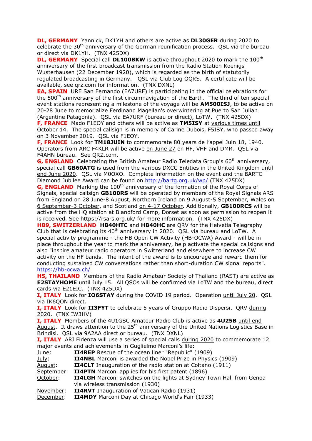**DL, GERMANY** Yannick, DK1YH and others are active as **DL30GER** during 2020 to celebrate the  $30<sup>th</sup>$  anniversary of the German reunification process. OSL via the bureau or direct via DK1YH. (TNX 425DX)

**DL, GERMANY** Special call DL100BKW is active throughout 2020 to mark the 100<sup>th</sup> anniversary of the first broadcast transmission from the Radio Station Koenigs Wusterhausen (22 December 1920), which is regarded as the birth of statutorily regulated broadcasting in Germany. QSL via Club Log OQRS. A certificate will be available, see qrz.com for information. (TNX DXNL)

**EA, SPAIN** URE San Fernando (EA7URF) is participating in the official celebrations for the 500<sup>th</sup> anniversary of the first circumnavigation of the Earth. The third of ten special event stations representing a milestone of the voyage will be **AM500ISJ**, to be active on 20-28 June to memorialize Ferdinand Magellan's overwintering at Puerto San Julian (Argentine Patagonia). QSL via EA7URF (bureau or direct), LoTW. (TNX 425DX)

**F, FRANCE** Mado F1EOY and others will be active as **TM5ISY** at various times until October 14. The special callsign is in memory of Carine Dubois, F5ISY, who passed away on 3 November 2019. QSL via F1EOY.

**F, FRANCE** Look for **TM18JUIN** to commemorate 80 years de l'appel Juin 18, 1940. Operators from ARC F4KLR will be active on June 27 on HF, VHF and DMR. QSL via F4AHN bureau. See QRZ.com.

**G, ENGLAND** Celebrating the British Amateur Radio Teledata Group's 60<sup>th</sup> anniversary, special call **GB60ATG** is used from the various DXCC Entities in the United Kingdom until end June 2020. QSL via M0OXO. Complete information on the event and the BARTG Diamond Jubilee Award can be found on<http://bartg.org.uk/wp/> (TNX 425DX)

**G, ENGLAND** Marking the 100<sup>th</sup> anniversary of the formation of the Royal Corps of Signals, special callsign **GB100RS** will be operated by members of the Royal Signals ARS from England on 28 June-8 August, Northern Ireland on 9 August-5 September, Wales on 6 September-3 October, and Scotland on 4-17 October. Additionally, **GB100RCS** will be active from the HQ station at Blandford Camp, Dorset as soon as permission to reopen it is received. See https://rsars.org.uk/ for more information. (TNX 425DX)

**HB9, SWITZERLAND HB40HTC** and **HB40HC** are QRV for the Helvetia Telegraphy Club that is celebrating its  $40<sup>th</sup>$  anniversary in 2020. QSL via bureau and LoTW. A special activity programme - the HB Open CW Activity (HB-OCWA) Award - will be in place throughout the year to mark the anniversary, help activate the special callsigns and also "inspire amateur radio operators in Switzerland and elsewhere to increase CW activity on the HF bands. The intent of the award is to encourage and reward them for conducting sustained CW conversations rather than short-duration CW signal reports". <https://hb-ocwa.ch/>

**HS, THAILAND** Members of the Radio Amateur Society of Thailand (RAST) are active as **E2STAYHOME** until July 15. All QSOs will be confirmed via LoTW and the bureau, direct cards via E21EIC. (TNX 425DX)

**I, ITALY** Look for **IO6STAY** during the COVID 19 period. Operation until July 20. QSL via IK6QON direct.

**I, ITALY** Look for **II3FYT** to celebrate 5 years of Gruppo Radio Dispersi. QRV during 2020. (TNX IW3HV)

**I, ITALY** Members of the 4U1GSC Amateur Radio Club is active as **4U25B** until end August. It draws attention to the 25<sup>th</sup> anniversary of the United Nations Logistics Base in Brindisi. QSL via 9A2AA direct or bureau. (TNX DXNL)

**I, ITALY** ARI Fidenza will use a series of special calls during 2020 to commemorate 12 major events and achievements in Guglielmo Marconi's life:

| June:      | <b>II4REP</b> Rescue of the ocean liner "Republic" (1909)                   |
|------------|-----------------------------------------------------------------------------|
| July:      | II4NBL Marconi is awarded the Nobel Prize in Physics (1909)                 |
| August:    | <b>II4CLT</b> Inauguration of the radio station at Coltano (1911)           |
| September: | <b>II4PTN</b> Marconi applies for his first patent (1896)                   |
| October:   | <b>II4LGH</b> Marconi switches on the lights at Sydney Town Hall from Genoa |
|            | via wireless transmission (1930)                                            |
| November:  | <b>II4RVT</b> Inauguration of Vatican Radio (1931)                          |
| December:  | <b>II4MDY</b> Marconi Day at Chicago World's Fair (1933)                    |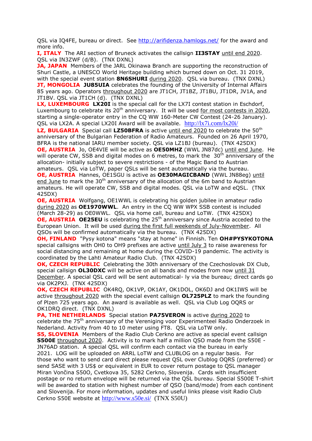QSL via IQ4FE, bureau or direct. See<http://arifidenza.hamlogs.net/> for the award and more info.

**I, ITALY** The ARI section of Bruneck activates the callsign **II3STAY** until end 2020. QSL via IN3ZWF (d/B). (TNX DXNL)

**JA, JAPAN** Members of the JARL Okinawa Branch are supporting the reconstruction of Shuri Castle, a UNESCO World Heritage building which burned down on Oct. 31 2019, with the special event station **8N6SHURI** during 2020. QSL via bureau. (TNX DXNL) **JT, MONGOLIA JU85UIA** celebrates the founding of the University of Internal Affairs 85 years ago. Operators throughout 2020 are JT1CH, JT1BZ, JT1BU, JT1DR, JV1A, and JT1BV. QSL via JT1CH (d). (TNX DXNL)

**LX, LUXEMBOURG LX20I** is the special call for the LX7I contest station in Eschdorf, Luxembourg to celebrate its 20<sup>th</sup> anniversary. It will be used for most contests in 2020, starting a single-operator entry in the CQ WW 160-Meter CW Contest (24-26 January). QSL via LX2A. A special LX20I Award will be available. <http://lx7i.com/lx20i/>

**LZ, BULGARIA** Special call LZ50BFRA is active until end 2020 to celebrate the 50<sup>th</sup> anniversary of the Bulgarian Federation of Radio Amateurs. Founded on 26 April 1970, BFRA is the national IARU member society. QSL via LZ1BJ (bureau). (TNX 425DX)

**OE, AUSTRIA** Jo, OE4VIE will be active as **OE50MHZ** (WWL JN87dc) until end June. He will operate CW, SSB and digital modes on 6 metres, to mark the  $30<sup>th</sup>$  anniversary of the allocation- initially subject to severe restrictions - of the Magic Band to Austrian amateurs. QSL via LoTW, paper QSLs will be sent automatically via the bureau.

**OE, AUSTRIA** Hannes, OE1SGU is active as **OE30MAGICBAND** (WWL JN88eg) until end June to mark the  $30<sup>th</sup>$  anniversary of the allocation of the 6m band to Austrian amateurs. He will operate CW, SSB and digital modes. QSL via LoTW and eQSL. (TNX 425DX)

**OE, AUSTRIA** Wolfgang, OE1WWL is celebrating his golden jubilee in amateur radio during 2020 as **OE1970WWL**. An entry in the CQ WW WPX SSB contest is included (March 28-29) as OE0WWL. QSL via home call, bureau and LoTW. (TNX 425DX) **OE, AUSTRIA OE25EU** is celebrating the 25<sup>th</sup> anniversary since Austria acceded to the European Union. It will be used during the first full weekends of July-November. All QSOs will be confirmed automatically via the bureau. (TNX 425DX)

**OH, FINLAND** "Pysy kotona" means "stay at home" in Finnish. Ten **OH#PYSYKOTONA** special callsigns with OH0 to OH9 prefixes are active until July 3 to raise awareness for social distancing and remaining at home during the COVID-19 pandemic. The activity is coordinated by the Lahti Amateur Radio Club. (TNX 425DX)

**OK, CZECH REPUBLIC** Celebrating the 30th anniversary of the Czechoslovak DX Club, special callsign **OL30DXC** will be active on all bands and modes from now until 31 December. A special QSL card will be sent automatical- ly via the bureau; direct cards go via OK2PXJ. (TNX 425DX)

**OK, CZECH REPUBLIC** OK4RQ, OK1VP, OK1AY, OK1DOL, OK6DJ and OK1IWS will be active throughout 2020 with the special event callsign **OL725PLZ** to mark the founding of Plzen 725 years ago. An award is available as well. QSL via Club Log OQRS or OK1DRQ direct. (TNX DXNL)

**PA, THE NETHERLANDS** Special station **PA75VERON** is active during 2020 to celebrate the 75th anniversary of the Vereniging voor Experimenteel Radio Onderzoek in Nederland. Activity from 40 to 10 meter using FT8. QSL via LoTW only.

**S5, SLOVENIA** Members of the Radio Club Cerkno are active as special event callsign **S500E** throughout 2020. Activity is to mark half a million QSO made from the S50E - JN76AD station. A special QSL will confirm each contact via the bureau in early 2021. LOG will be uploaded on ARRL LoTW and CLUBLOG on a regular basis. For those who want to send card direct please request QSL over Clublog OQRS (preferred) or send SASE with 3 US\$ or equivalent in EUR to cover return postage to QSL manager Miran Vončina S50O, Cvetkova 35, 5282 Cerkno, Slovenija. Cards with insufficient postage or no return envelope will be returned via the QSL bureau. Special S500E T-shirt will be awarded to station with highest number of QSO (band/mode) from each continent and Slovenija. For more information, updates and useful links please visit Radio Club Cerkno S50E website at <http://www.s50e.si/>(TNX S50U)